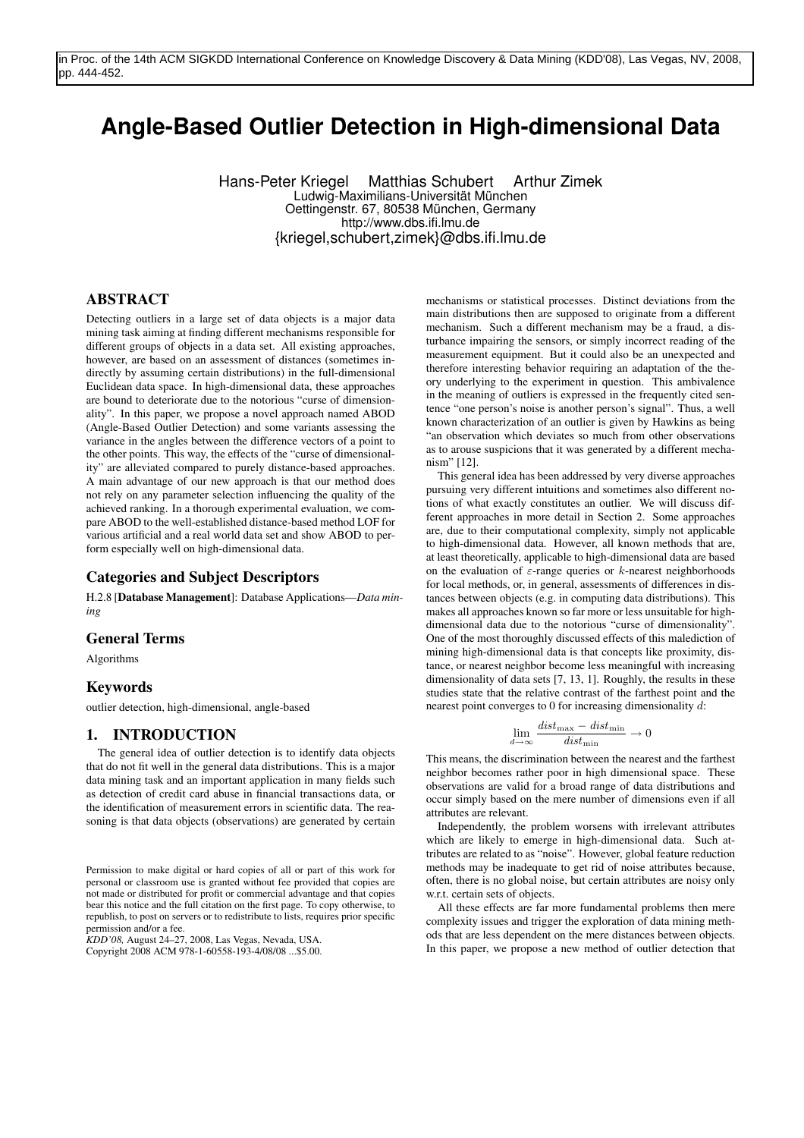# **Angle-Based Outlier Detection in High-dimensional Data**

Hans-Peter Kriegel Matthias Schubert Arthur Zimek Ludwig-Maximilians-Universität München Oettingenstr. 67, 80538 München, Germany http://www.dbs.ifi.lmu.de {kriegel,schubert,zimek}@dbs.ifi.lmu.de

# ABSTRACT

Detecting outliers in a large set of data objects is a major data mining task aiming at finding different mechanisms responsible for different groups of objects in a data set. All existing approaches, however, are based on an assessment of distances (sometimes indirectly by assuming certain distributions) in the full-dimensional Euclidean data space. In high-dimensional data, these approaches are bound to deteriorate due to the notorious "curse of dimensionality". In this paper, we propose a novel approach named ABOD (Angle-Based Outlier Detection) and some variants assessing the variance in the angles between the difference vectors of a point to the other points. This way, the effects of the "curse of dimensionality" are alleviated compared to purely distance-based approaches. A main advantage of our new approach is that our method does not rely on any parameter selection influencing the quality of the achieved ranking. In a thorough experimental evaluation, we compare ABOD to the well-established distance-based method LOF for various artificial and a real world data set and show ABOD to perform especially well on high-dimensional data.

### Categories and Subject Descriptors

H.2.8 [Database Management]: Database Applications—*Data mining*

### General Terms

Algorithms

### Keywords

outlier detection, high-dimensional, angle-based

# 1. INTRODUCTION

The general idea of outlier detection is to identify data objects that do not fit well in the general data distributions. This is a major data mining task and an important application in many fields such as detection of credit card abuse in financial transactions data, or the identification of measurement errors in scientific data. The reasoning is that data objects (observations) are generated by certain

*KDD'08,* August 24–27, 2008, Las Vegas, Nevada, USA.

Copyright 2008 ACM 978-1-60558-193-4/08/08 ...\$5.00.

mechanisms or statistical processes. Distinct deviations from the main distributions then are supposed to originate from a different mechanism. Such a different mechanism may be a fraud, a disturbance impairing the sensors, or simply incorrect reading of the measurement equipment. But it could also be an unexpected and therefore interesting behavior requiring an adaptation of the theory underlying to the experiment in question. This ambivalence in the meaning of outliers is expressed in the frequently cited sentence "one person's noise is another person's signal". Thus, a well known characterization of an outlier is given by Hawkins as being "an observation which deviates so much from other observations as to arouse suspicions that it was generated by a different mechanism" [12].

This general idea has been addressed by very diverse approaches pursuing very different intuitions and sometimes also different notions of what exactly constitutes an outlier. We will discuss different approaches in more detail in Section 2. Some approaches are, due to their computational complexity, simply not applicable to high-dimensional data. However, all known methods that are, at least theoretically, applicable to high-dimensional data are based on the evaluation of  $\varepsilon$ -range queries or k-nearest neighborhoods for local methods, or, in general, assessments of differences in distances between objects (e.g. in computing data distributions). This makes all approaches known so far more or less unsuitable for highdimensional data due to the notorious "curse of dimensionality". One of the most thoroughly discussed effects of this malediction of mining high-dimensional data is that concepts like proximity, distance, or nearest neighbor become less meaningful with increasing dimensionality of data sets [7, 13, 1]. Roughly, the results in these studies state that the relative contrast of the farthest point and the nearest point converges to 0 for increasing dimensionality d:

$$
\lim_{d\to\infty}\frac{dist_{\max}-dist_{\min}}{dist_{\min}}\to 0
$$

This means, the discrimination between the nearest and the farthest neighbor becomes rather poor in high dimensional space. These observations are valid for a broad range of data distributions and occur simply based on the mere number of dimensions even if all attributes are relevant.

Independently, the problem worsens with irrelevant attributes which are likely to emerge in high-dimensional data. Such attributes are related to as "noise". However, global feature reduction methods may be inadequate to get rid of noise attributes because, often, there is no global noise, but certain attributes are noisy only w.r.t. certain sets of objects.

All these effects are far more fundamental problems then mere complexity issues and trigger the exploration of data mining methods that are less dependent on the mere distances between objects. In this paper, we propose a new method of outlier detection that

Permission to make digital or hard copies of all or part of this work for personal or classroom use is granted without fee provided that copies are not made or distributed for profit or commercial advantage and that copies bear this notice and the full citation on the first page. To copy otherwise, to republish, to post on servers or to redistribute to lists, requires prior specific permission and/or a fee.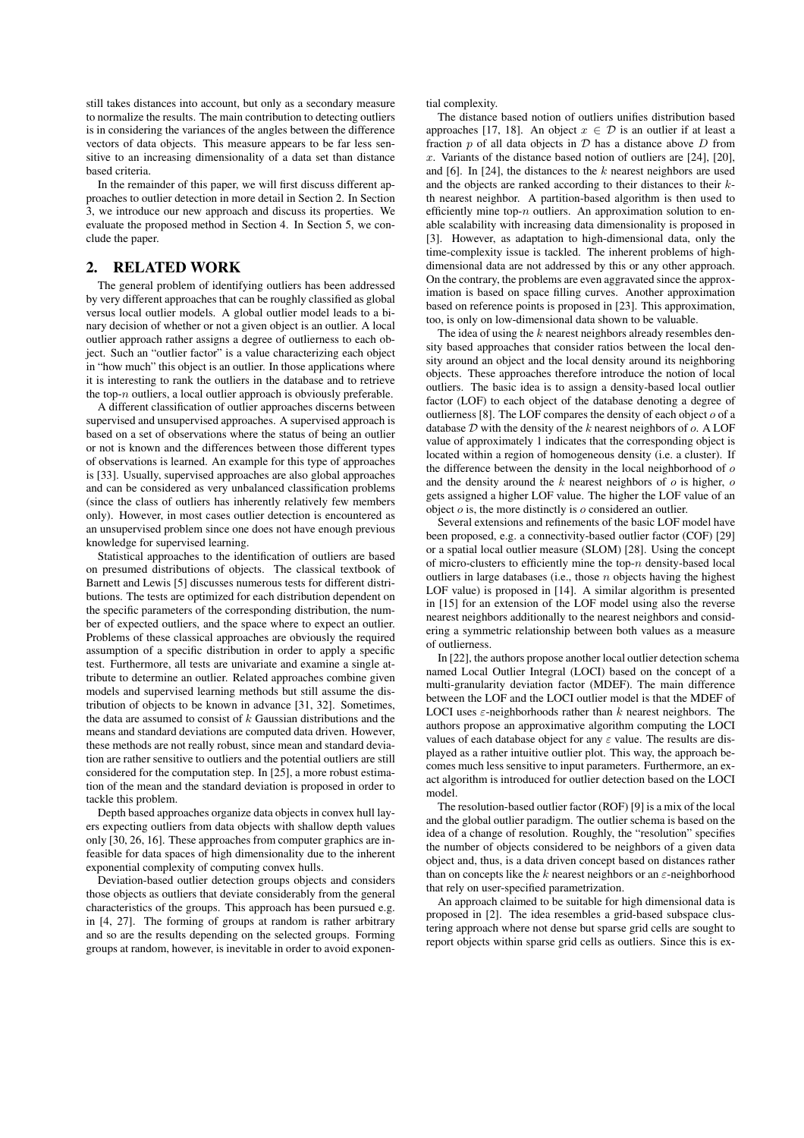still takes distances into account, but only as a secondary measure to normalize the results. The main contribution to detecting outliers is in considering the variances of the angles between the difference vectors of data objects. This measure appears to be far less sensitive to an increasing dimensionality of a data set than distance based criteria.

In the remainder of this paper, we will first discuss different approaches to outlier detection in more detail in Section 2. In Section 3, we introduce our new approach and discuss its properties. We evaluate the proposed method in Section 4. In Section 5, we conclude the paper.

# 2. RELATED WORK

The general problem of identifying outliers has been addressed by very different approaches that can be roughly classified as global versus local outlier models. A global outlier model leads to a binary decision of whether or not a given object is an outlier. A local outlier approach rather assigns a degree of outlierness to each object. Such an "outlier factor" is a value characterizing each object in "how much" this object is an outlier. In those applications where it is interesting to rank the outliers in the database and to retrieve the top- $n$  outliers, a local outlier approach is obviously preferable.

A different classification of outlier approaches discerns between supervised and unsupervised approaches. A supervised approach is based on a set of observations where the status of being an outlier or not is known and the differences between those different types of observations is learned. An example for this type of approaches is [33]. Usually, supervised approaches are also global approaches and can be considered as very unbalanced classification problems (since the class of outliers has inherently relatively few members only). However, in most cases outlier detection is encountered as an unsupervised problem since one does not have enough previous knowledge for supervised learning.

Statistical approaches to the identification of outliers are based on presumed distributions of objects. The classical textbook of Barnett and Lewis [5] discusses numerous tests for different distributions. The tests are optimized for each distribution dependent on the specific parameters of the corresponding distribution, the number of expected outliers, and the space where to expect an outlier. Problems of these classical approaches are obviously the required assumption of a specific distribution in order to apply a specific test. Furthermore, all tests are univariate and examine a single attribute to determine an outlier. Related approaches combine given models and supervised learning methods but still assume the distribution of objects to be known in advance [31, 32]. Sometimes, the data are assumed to consist of  $k$  Gaussian distributions and the means and standard deviations are computed data driven. However, these methods are not really robust, since mean and standard deviation are rather sensitive to outliers and the potential outliers are still considered for the computation step. In [25], a more robust estimation of the mean and the standard deviation is proposed in order to tackle this problem.

Depth based approaches organize data objects in convex hull layers expecting outliers from data objects with shallow depth values only [30, 26, 16]. These approaches from computer graphics are infeasible for data spaces of high dimensionality due to the inherent exponential complexity of computing convex hulls.

Deviation-based outlier detection groups objects and considers those objects as outliers that deviate considerably from the general characteristics of the groups. This approach has been pursued e.g. in [4, 27]. The forming of groups at random is rather arbitrary and so are the results depending on the selected groups. Forming groups at random, however, is inevitable in order to avoid exponential complexity.

The distance based notion of outliers unifies distribution based approaches [17, 18]. An object  $x \in \mathcal{D}$  is an outlier if at least a fraction  $p$  of all data objects in  $D$  has a distance above  $D$  from x. Variants of the distance based notion of outliers are [24], [20], and  $[6]$ . In  $[24]$ , the distances to the k nearest neighbors are used and the objects are ranked according to their distances to their kth nearest neighbor. A partition-based algorithm is then used to efficiently mine top- $n$  outliers. An approximation solution to enable scalability with increasing data dimensionality is proposed in [3]. However, as adaptation to high-dimensional data, only the time-complexity issue is tackled. The inherent problems of highdimensional data are not addressed by this or any other approach. On the contrary, the problems are even aggravated since the approximation is based on space filling curves. Another approximation based on reference points is proposed in [23]. This approximation, too, is only on low-dimensional data shown to be valuable.

The idea of using the  $k$  nearest neighbors already resembles density based approaches that consider ratios between the local density around an object and the local density around its neighboring objects. These approaches therefore introduce the notion of local outliers. The basic idea is to assign a density-based local outlier factor (LOF) to each object of the database denoting a degree of outlierness [8]. The LOF compares the density of each object o of a database  $D$  with the density of the  $k$  nearest neighbors of  $o$ . A LOF value of approximately 1 indicates that the corresponding object is located within a region of homogeneous density (i.e. a cluster). If the difference between the density in the local neighborhood of  $o$ and the density around the  $k$  nearest neighbors of  $o$  is higher,  $o$ gets assigned a higher LOF value. The higher the LOF value of an object  $o$  is, the more distinctly is  $o$  considered an outlier.

Several extensions and refinements of the basic LOF model have been proposed, e.g. a connectivity-based outlier factor (COF) [29] or a spatial local outlier measure (SLOM) [28]. Using the concept of micro-clusters to efficiently mine the top- $n$  density-based local outliers in large databases (i.e., those  $n$  objects having the highest LOF value) is proposed in [14]. A similar algorithm is presented in [15] for an extension of the LOF model using also the reverse nearest neighbors additionally to the nearest neighbors and considering a symmetric relationship between both values as a measure of outlierness.

In [22], the authors propose another local outlier detection schema named Local Outlier Integral (LOCI) based on the concept of a multi-granularity deviation factor (MDEF). The main difference between the LOF and the LOCI outlier model is that the MDEF of LOCI uses  $\varepsilon$ -neighborhoods rather than k nearest neighbors. The authors propose an approximative algorithm computing the LOCI values of each database object for any  $\varepsilon$  value. The results are displayed as a rather intuitive outlier plot. This way, the approach becomes much less sensitive to input parameters. Furthermore, an exact algorithm is introduced for outlier detection based on the LOCI model.

The resolution-based outlier factor (ROF) [9] is a mix of the local and the global outlier paradigm. The outlier schema is based on the idea of a change of resolution. Roughly, the "resolution" specifies the number of objects considered to be neighbors of a given data object and, thus, is a data driven concept based on distances rather than on concepts like the k nearest neighbors or an  $\varepsilon$ -neighborhood that rely on user-specified parametrization.

An approach claimed to be suitable for high dimensional data is proposed in [2]. The idea resembles a grid-based subspace clustering approach where not dense but sparse grid cells are sought to report objects within sparse grid cells as outliers. Since this is ex-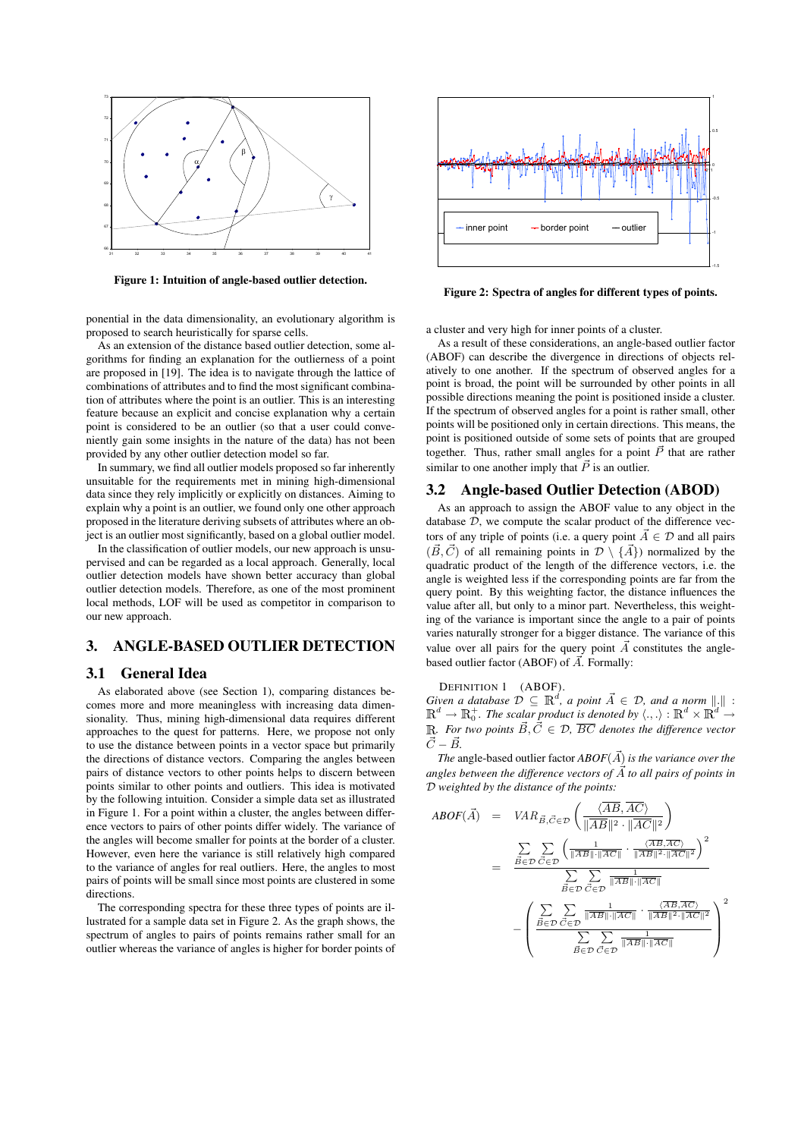

Figure 1: Intuition of angle-based outlier detection.

ponential in the data dimensionality, an evolutionary algorithm is proposed to search heuristically for sparse cells.

As an extension of the distance based outlier detection, some algorithms for finding an explanation for the outlierness of a point are proposed in [19]. The idea is to navigate through the lattice of combinations of attributes and to find the most significant combination of attributes where the point is an outlier. This is an interesting feature because an explicit and concise explanation why a certain point is considered to be an outlier (so that a user could conveniently gain some insights in the nature of the data) has not been provided by any other outlier detection model so far.

In summary, we find all outlier models proposed so far inherently unsuitable for the requirements met in mining high-dimensional data since they rely implicitly or explicitly on distances. Aiming to explain why a point is an outlier, we found only one other approach proposed in the literature deriving subsets of attributes where an object is an outlier most significantly, based on a global outlier model.

In the classification of outlier models, our new approach is unsupervised and can be regarded as a local approach. Generally, local outlier detection models have shown better accuracy than global outlier detection models. Therefore, as one of the most prominent local methods, LOF will be used as competitor in comparison to our new approach.

# 3. ANGLE-BASED OUTLIER DETECTION

### 3.1 General Idea

As elaborated above (see Section 1), comparing distances becomes more and more meaningless with increasing data dimensionality. Thus, mining high-dimensional data requires different approaches to the quest for patterns. Here, we propose not only to use the distance between points in a vector space but primarily the directions of distance vectors. Comparing the angles between pairs of distance vectors to other points helps to discern between points similar to other points and outliers. This idea is motivated by the following intuition. Consider a simple data set as illustrated in Figure 1. For a point within a cluster, the angles between difference vectors to pairs of other points differ widely. The variance of the angles will become smaller for points at the border of a cluster. However, even here the variance is still relatively high compared to the variance of angles for real outliers. Here, the angles to most pairs of points will be small since most points are clustered in some directions.

The corresponding spectra for these three types of points are illustrated for a sample data set in Figure 2. As the graph shows, the spectrum of angles to pairs of points remains rather small for an outlier whereas the variance of angles is higher for border points of



Figure 2: Spectra of angles for different types of points.

a cluster and very high for inner points of a cluster.

As a result of these considerations, an angle-based outlier factor (ABOF) can describe the divergence in directions of objects relatively to one another. If the spectrum of observed angles for a point is broad, the point will be surrounded by other points in all possible directions meaning the point is positioned inside a cluster. If the spectrum of observed angles for a point is rather small, other points will be positioned only in certain directions. This means, the point is positioned outside of some sets of points that are grouped together. Thus, rather small angles for a point  $\vec{P}$  that are rather similar to one another imply that  $\vec{P}$  is an outlier.

### 3.2 Angle-based Outlier Detection (ABOD)

As an approach to assign the ABOF value to any object in the database D, we compute the scalar product of the difference vectors of any triple of points (i.e. a query point  $\vec{A} \in \mathcal{D}$  and all pairs  $(\vec{B}, \vec{C})$  of all remaining points in  $\mathcal{D} \setminus {\{\vec{A}\}}$  normalized by the quadratic product of the length of the difference vectors, i.e. the angle is weighted less if the corresponding points are far from the query point. By this weighting factor, the distance influences the value after all, but only to a minor part. Nevertheless, this weighting of the variance is important since the angle to a pair of points varies naturally stronger for a bigger distance. The variance of this value over all pairs for the query point  $\vec{A}$  constitutes the anglebased outlier factor (ABOF) of  $\vec{A}$ . Formally:

DEFINITION 1 (ABOF).

*Given a database*  $\mathcal{D} \subseteq \mathbb{R}^d$ , *a point*  $\vec{A} \in \mathcal{D}$ , *and a norm*  $\Vert \cdot \Vert$  :  $\mathbb{R}^d \to \mathbb{R}^+_0$ . The scalar product is denoted by  $\langle .,.\rangle : \mathbb{R}^d \times \mathbb{R}^d \to$ *R. For two points*  $\vec{B}, \vec{C} \in \mathcal{D}, \vec{BC}$  *denotes the difference vector*  $\vec{C} - \vec{B}$ .

*The* angle-based outlier factor  $ABOF(\overline{A})$  *is the variance over the angles between the difference vectors of*  $\vec{A}$  *to all pairs of points in* D *weighted by the distance of the points:*

$$
ABOF(\vec{A}) = VAR_{\vec{B},\vec{C}\in\mathcal{D}}\left(\frac{\langle \overline{AB},\overline{AC}\rangle}{\|\overline{AB}\|^2 \cdot \|\overline{AC}\|^2}\right)
$$
  

$$
= \frac{\sum_{\vec{B}\in\mathcal{D}}\sum_{\vec{C}\in\mathcal{D}}\left(\frac{1}{\|\overline{AB}\|^2 \cdot \|\overline{AC}\|^2} \cdot \frac{\langle \overline{AB},\overline{AC}\rangle}{\|\overline{AB}\|^2 \cdot \|\overline{AC}\|^2}\right)^2}{\sum_{\vec{B}\in\mathcal{D}}\sum_{\vec{C}\in\mathcal{D}}\frac{1}{\|\overline{AB}\|^2 \cdot \|\overline{AC}\|}}
$$
  

$$
- \left(\frac{\sum_{\vec{B}\in\mathcal{D}}\sum_{\vec{C}\in\mathcal{D}}\frac{1}{\|\overline{AB}\|^2 \cdot \|\overline{AC}\|}}{\sum_{\vec{B}\in\mathcal{D}}\sum_{\vec{C}\in\mathcal{D}}\frac{1}{\|\overline{AB}\|^2 \cdot \|\overline{AC}\|^2}}\right)^2
$$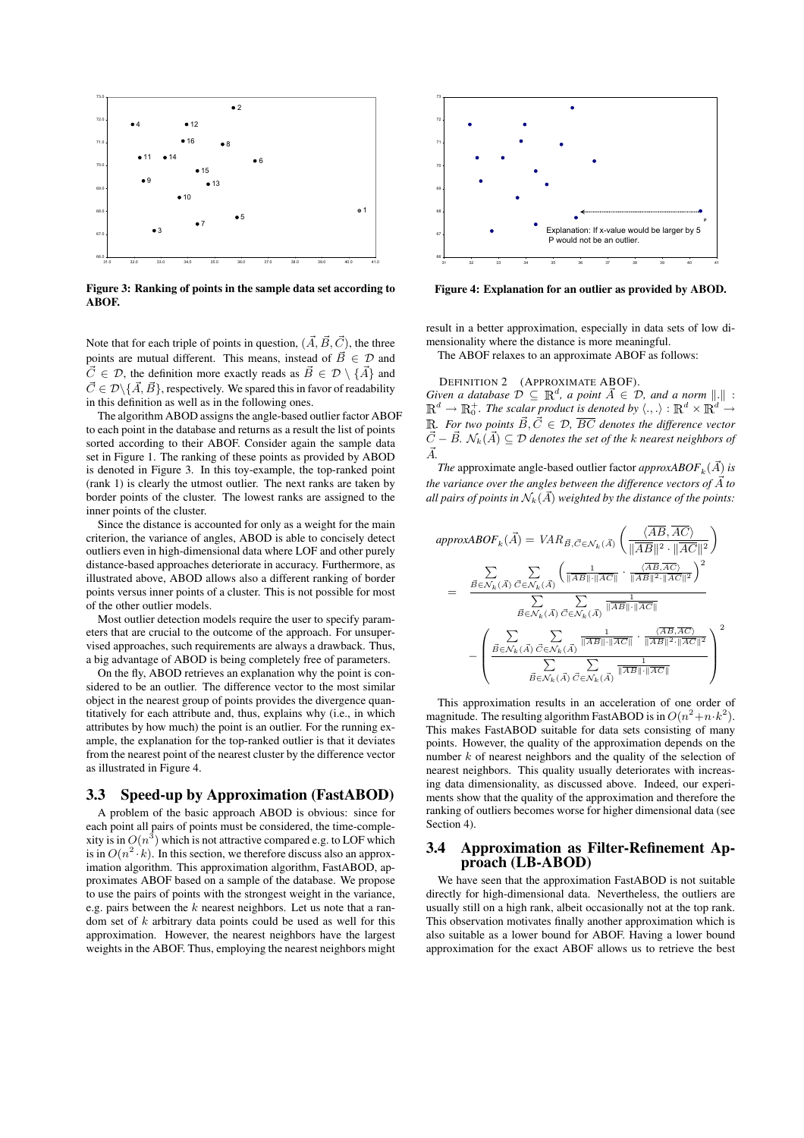

Figure 3: Ranking of points in the sample data set according to ABOF.

Note that for each triple of points in question,  $(\vec{A}, \vec{B}, \vec{C})$ , the three points are mutual different. This means, instead of  $\vec{B} \in \mathcal{D}$  and  $\vec{C} \in \mathcal{D}$ , the definition more exactly reads as  $\vec{B} \in \mathcal{D} \setminus {\{\vec{A}\}}$  and  $\vec{C} \in \mathcal{D} \backslash \{\vec{A}, \vec{B}\}\,$ , respectively. We spared this in favor of readability in this definition as well as in the following ones.

The algorithm ABOD assigns the angle-based outlier factor ABOF to each point in the database and returns as a result the list of points sorted according to their ABOF. Consider again the sample data set in Figure 1. The ranking of these points as provided by ABOD is denoted in Figure 3. In this toy-example, the top-ranked point (rank 1) is clearly the utmost outlier. The next ranks are taken by border points of the cluster. The lowest ranks are assigned to the inner points of the cluster.

Since the distance is accounted for only as a weight for the main criterion, the variance of angles, ABOD is able to concisely detect outliers even in high-dimensional data where LOF and other purely distance-based approaches deteriorate in accuracy. Furthermore, as illustrated above, ABOD allows also a different ranking of border points versus inner points of a cluster. This is not possible for most of the other outlier models.

Most outlier detection models require the user to specify parameters that are crucial to the outcome of the approach. For unsupervised approaches, such requirements are always a drawback. Thus, a big advantage of ABOD is being completely free of parameters.

On the fly, ABOD retrieves an explanation why the point is considered to be an outlier. The difference vector to the most similar object in the nearest group of points provides the divergence quantitatively for each attribute and, thus, explains why (i.e., in which attributes by how much) the point is an outlier. For the running example, the explanation for the top-ranked outlier is that it deviates from the nearest point of the nearest cluster by the difference vector as illustrated in Figure 4.

### 3.3 Speed-up by Approximation (FastABOD)

A problem of the basic approach ABOD is obvious: since for each point all pairs of points must be considered, the time-complexity is in  $O(n^3)$  which is not attractive compared e.g. to LOF which is in  $O(n^2 \cdot k)$ . In this section, we therefore discuss also an approximation algorithm. This approximation algorithm, FastABOD, approximates ABOF based on a sample of the database. We propose to use the pairs of points with the strongest weight in the variance, e.g. pairs between the  $k$  nearest neighbors. Let us note that a random set of  $k$  arbitrary data points could be used as well for this approximation. However, the nearest neighbors have the largest weights in the ABOF. Thus, employing the nearest neighbors might



Figure 4: Explanation for an outlier as provided by ABOD.

result in a better approximation, especially in data sets of low dimensionality where the distance is more meaningful.

The ABOF relaxes to an approximate ABOF as follows:

DEFINITION 2 (APPROXIMATE ABOF).<br>Given a database  $\mathcal{D} \subseteq \mathbb{R}^d$ , a point  $\vec{A} \in \mathcal{D}$ , and a norm  $||.||$ : *Given a database*  $D \subseteq \mathbb{R}^d$ , *a point*  $\overline{A} \in \mathcal{D}$ , *and a norm*  $\|\cdot\|$ :<br> $\mathbb{R}^d \to \mathbb{R}_0^+$ . The scalar product is denoted by  $\langle ., . \rangle : \mathbb{R}^d \times \mathbb{R}^d \to$ *R. For two points*  $\vec{B}, \vec{C} \in \mathcal{D}$ ,  $\overline{BC}$  denotes the difference vector  $\vec{C} - \vec{B}$ .  $\mathcal{N}_k(\vec{A}) \subseteq \mathcal{D}$  *denotes the set of the k nearest neighbors of* A*.*

*The* approximate angle-based outlier factor *approxABOF*<sub>k</sub> $(\overrightarrow{A})$  *is the variance over the angles between the difference vectors of*  $\vec{A}$  *to all pairs of points in*  $\mathcal{N}_k(A)$  *weighted by the distance of the points:* 

$$
\begin{split} & \mathit{approxABOF}_k(\vec{A}) = \mathit{VAR}_{\vec{B}, \vec{C} \in \mathcal{N}_k(\vec{A})}\left(\frac{\langle \overline{AB}, \overline{AC} \rangle}{\|\overline{AB}\|^2 \cdot \|\overline{AC}\|^2}\right) \\ & = \frac{\sum\limits_{\vec{B} \in \mathcal{N}_k(\vec{A})} \sum\limits_{\vec{C} \in \mathcal{N}_k(\vec{A})} \left(\frac{1}{\|\overline{AB}\| \cdot \|\overline{AC}\|} \cdot \frac{\langle \overline{AB}, \overline{AC} \rangle}{\|\overline{AB}\|^2 \cdot \|\overline{AC}\|^2}\right)^2}{\sum\limits_{\vec{B} \in \mathcal{N}_k(\vec{A})} \sum\limits_{\vec{C} \in \mathcal{N}_k(\vec{A})} \frac{1}{\|\overline{AB}\| \cdot \|\overline{AC}\|}} \\ & - \left(\frac{\sum\limits_{\vec{B} \in \mathcal{N}_k(\vec{A})} \sum\limits_{\vec{C} \in \mathcal{N}_k(\vec{A})} \frac{1}{\|\overline{AB}\| \cdot \|\overline{AC}\|} \cdot \frac{\langle \overline{AB}, \overline{AC} \rangle}{\|\overline{AB}\|^2 \cdot \|\overline{AC}\|^2}}{\sum\limits_{\vec{B} \in \mathcal{N}_k(\vec{A})} \sum\limits_{\vec{C} \in \mathcal{N}_k(\vec{A})} \frac{1}{\|\overline{AB}\| \cdot \|\overline{AC}\|}}\right)^2 \end{split}
$$

This approximation results in an acceleration of one order of magnitude. The resulting algorithm FastABOD is in  $O(n^2+n \cdot k^2)$ . This makes FastABOD suitable for data sets consisting of many points. However, the quality of the approximation depends on the number  $k$  of nearest neighbors and the quality of the selection of nearest neighbors. This quality usually deteriorates with increasing data dimensionality, as discussed above. Indeed, our experiments show that the quality of the approximation and therefore the ranking of outliers becomes worse for higher dimensional data (see Section 4).

### 3.4 Approximation as Filter-Refinement Approach (LB-ABOD)

We have seen that the approximation FastABOD is not suitable directly for high-dimensional data. Nevertheless, the outliers are usually still on a high rank, albeit occasionally not at the top rank. This observation motivates finally another approximation which is also suitable as a lower bound for ABOF. Having a lower bound approximation for the exact ABOF allows us to retrieve the best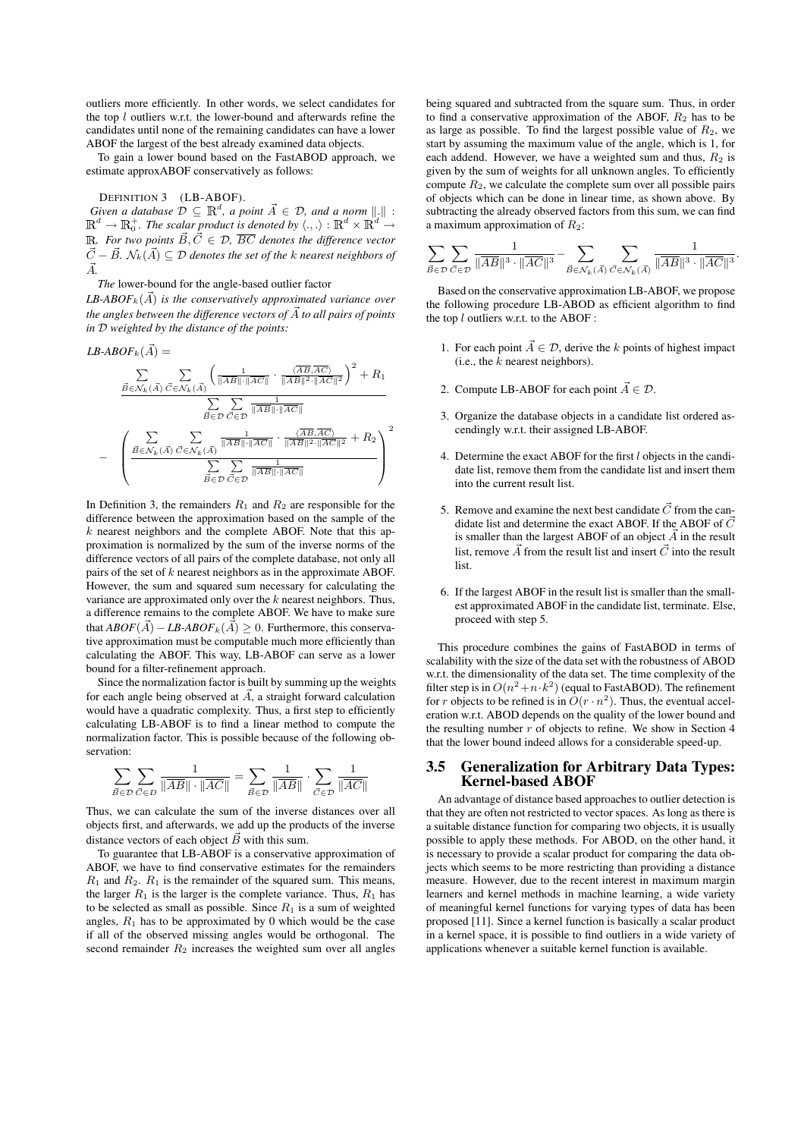outliers more efficiently. In other words, we select candidates for the top  $l$  outliers w.r.t. the lower-bound and afterwards refine the candidates until none of the remaining candidates can have a lower ABOF the largest of the best already examined data objects.

To gain a lower bound based on the FastABOD approach, we estimate approxABOF conservatively as follows:

DEFINITION 3 (LB-ABOF).

*Given a database*  $\mathcal{D} \subseteq \mathbb{R}^d$ *, a point*  $\vec{A} \in \mathcal{D}$ *, and a norm*  $\Vert \cdot \Vert$  :  $\mathbb{R}^d \to \mathbb{R}_0^+$ . The scalar product is denoted by  $\langle .,.\rangle : \mathbb{R}^d \times \mathbb{R}^d \to$  $\mathbb{R}$ *<i>. For two points*  $\vec{B}, \vec{C} \in \mathcal{D}$ *,*  $\overline{BC}$  *denotes the difference vector*  $\vec{C} - \vec{B}$ *.*  $\mathcal{N}_k(\vec{A}) \subseteq \mathcal{D}$  denotes the set of the k nearest neighbors of A*.*

*The* lower-bound for the angle-based outlier factor

 $LB-ABOF_k(\overline{A})$  *is the conservatively approximated variance over the angles between the difference vectors of*  $\vec{A}$  *to all pairs of points in* D *weighted by the distance of the points:*

$$
LB\text{-}ABOF_k(\vec{A}) = \frac{\sum\limits_{\vec{B}\in\mathcal{N}_k(\vec{A})}\sum\limits_{\vec{C}\in\mathcal{N}_k(\vec{A})}\left(\frac{1}{\|\overline{AB}\|\cdot\|\overline{AC}\|} \cdot \frac{\langle\overline{AB},\overline{AC}\rangle}{\|\overline{AB}\|^2\cdot\|\overline{AC}\|^2}\right)^2 + R_1}{\sum\limits_{\vec{B}\in\mathcal{D}}\sum\limits_{\vec{C}\in\mathcal{D}}\frac{1}{\|\overline{AB}\|\cdot\|\overline{AC}\|}}\n- \left(\frac{\sum\limits_{\vec{B}\in\mathcal{N}_k(\vec{A})}\sum\limits_{\vec{C}\in\mathcal{N}_k(\vec{A})}\frac{1}{\|\overline{AB}\|\cdot\|\overline{AC}\|} \cdot \frac{\langle\overline{AB},\overline{AC}\rangle}{\|\overline{AB}\|^2\cdot\|\overline{AC}\|^2} + R_2}{\sum\limits_{\vec{B}\in\mathcal{D}}\sum\limits_{\vec{C}\in\mathcal{D}}\frac{1}{\|\overline{AB}\|\cdot\|\overline{AC}\|}}\right)^2}\n- \left(\frac{\sum\limits_{\vec{B}\in\mathcal{N}_k(\vec{A})}\sum\limits_{\vec{C}\in\mathcal{D}}\frac{1}{\|\overline{AB}\|\cdot\|\overline{AC}\|}}{\|\overline{AB}\|\cdot\|\overline{AC}\|}\n- \left(\frac{\sum\limits_{\vec{B}\in\mathcal{N}_k(\vec{A})}\sum\limits_{\vec{C}\in\mathcal{D}}\frac{1}{\|\overline{AB}\|\cdot\|\overline{AC}\|}}{\|\overline{AB}\|\cdot\|\overline{AC}\|}\n- \left(\frac{\sum\limits_{\vec{B}\in\mathcal{N}_k(\vec{A})}\sum\limits_{\vec{C}\in\mathcal{N}_k(\vec{A})}\frac{1}{\|\overline{AB}\|\cdot\|\overline{AC}\|}}{\|\overline{AB}\|\cdot\|\overline{AC}\|}\n- \left(\frac{\sum\limits_{\vec{B}\in\mathcal{N}_k(\vec{A})}\sum\limits_{\vec{C}\in\mathcal{N}_k(\vec{A})}\frac{1}{\|\overline{AB}\|\cdot\|\overline{AC}\|}}{\|\overline{AB}\|\cdot\|\overline{AC}\|}\n- \left(\frac{\sum\limits_{\vec{B}\in\mathcal{N
$$

In Definition 3, the remainders  $R_1$  and  $R_2$  are responsible for the difference between the approximation based on the sample of the  $k$  nearest neighbors and the complete ABOF. Note that this approximation is normalized by the sum of the inverse norms of the difference vectors of all pairs of the complete database, not only all pairs of the set of k nearest neighbors as in the approximate ABOF. However, the sum and squared sum necessary for calculating the variance are approximated only over the  $k$  nearest neighbors. Thus, a difference remains to the complete ABOF. We have to make sure that  $ABOF(\vec{A}) - LB-ABOF_k(\vec{A}) \geq 0$ . Furthermore, this conservative approximation must be computable much more efficiently than calculating the ABOF. This way, LB-ABOF can serve as a lower bound for a filter-refinement approach.

Since the normalization factor is built by summing up the weights for each angle being observed at  $\vec{A}$ , a straight forward calculation would have a quadratic complexity. Thus, a first step to efficiently calculating LB-ABOF is to find a linear method to compute the normalization factor. This is possible because of the following observation:

$$
\sum_{\vec{B}\in\mathcal{D}}\sum_{\vec{C}\in D}\frac{1}{\|\overline{AB}\|\cdot\|\overline{AC}\|}=\sum_{\vec{B}\in\mathcal{D}}\frac{1}{\|\overline{AB}\|}\cdot\sum_{\vec{C}\in\mathcal{D}}\frac{1}{\|\overline{AC}\|}
$$

Thus, we can calculate the sum of the inverse distances over all objects first, and afterwards, we add up the products of the inverse distance vectors of each object  $\vec{B}$  with this sum.

To guarantee that LB-ABOF is a conservative approximation of ABOF, we have to find conservative estimates for the remainders  $R_1$  and  $R_2$ .  $R_1$  is the remainder of the squared sum. This means, the larger  $R_1$  is the larger is the complete variance. Thus,  $R_1$  has to be selected as small as possible. Since  $R_1$  is a sum of weighted angles,  $R_1$  has to be approximated by 0 which would be the case if all of the observed missing angles would be orthogonal. The second remainder  $R_2$  increases the weighted sum over all angles

being squared and subtracted from the square sum. Thus, in order to find a conservative approximation of the ABOF,  $R_2$  has to be as large as possible. To find the largest possible value of  $R_2$ , we start by assuming the maximum value of the angle, which is 1, for each addend. However, we have a weighted sum and thus,  $R_2$  is given by the sum of weights for all unknown angles. To efficiently compute  $R_2$ , we calculate the complete sum over all possible pairs of objects which can be done in linear time, as shown above. By subtracting the already observed factors from this sum, we can find a maximum approximation of  $R_2$ :

$$
\sum_{\vec{B}\in \mathcal{D}}\sum_{\vec{C}\in \mathcal{D}}\frac{1}{\|\overline{AB}\|^3\cdot \|\overline{AC}\|^3}-\sum_{\vec{B}\in \mathcal{N}_k(\vec{A})}\sum_{\vec{C}\in \mathcal{N}_k(\vec{A})}\frac{1}{\|\overline{AB}\|^3\cdot \|\overline{AC}\|^3}.
$$

Based on the conservative approximation LB-ABOF, we propose the following procedure LB-ABOD as efficient algorithm to find the top  $l$  outliers w.r.t. to the ABOF :

- 1. For each point  $\vec{A} \in \mathcal{D}$ , derive the k points of highest impact (i.e., the  $k$  nearest neighbors).
- 2. Compute LB-ABOF for each point  $\vec{A} \in \mathcal{D}$ .
- 3. Organize the database objects in a candidate list ordered ascendingly w.r.t. their assigned LB-ABOF.
- 4. Determine the exact ABOF for the first l objects in the candidate list, remove them from the candidate list and insert them into the current result list.
- 5. Remove and examine the next best candidate  $\vec{C}$  from the candidate list and determine the exact ABOF. If the ABOF of  $\vec{C}$ is smaller than the largest ABOF of an object  $\vec{A}$  in the result list, remove  $\vec{A}$  from the result list and insert  $\vec{C}$  into the result list.
- 6. If the largest ABOF in the result list is smaller than the smallest approximated ABOF in the candidate list, terminate. Else, proceed with step 5.

This procedure combines the gains of FastABOD in terms of scalability with the size of the data set with the robustness of ABOD w.r.t. the dimensionality of the data set. The time complexity of the filter step is in  $O(n^2+n\cdot k^2)$  (equal to FastABOD). The refinement for r objects to be refined is in  $O(r \cdot n^2)$ . Thus, the eventual acceleration w.r.t. ABOD depends on the quality of the lower bound and the resulting number  $r$  of objects to refine. We show in Section 4 that the lower bound indeed allows for a considerable speed-up.

# 3.5 Generalization for Arbitrary Data Types: Kernel-based ABOF

An advantage of distance based approaches to outlier detection is that they are often not restricted to vector spaces. As long as there is a suitable distance function for comparing two objects, it is usually possible to apply these methods. For ABOD, on the other hand, it is necessary to provide a scalar product for comparing the data objects which seems to be more restricting than providing a distance measure. However, due to the recent interest in maximum margin learners and kernel methods in machine learning, a wide variety of meaningful kernel functions for varying types of data has been proposed [11]. Since a kernel function is basically a scalar product in a kernel space, it is possible to find outliers in a wide variety of applications whenever a suitable kernel function is available.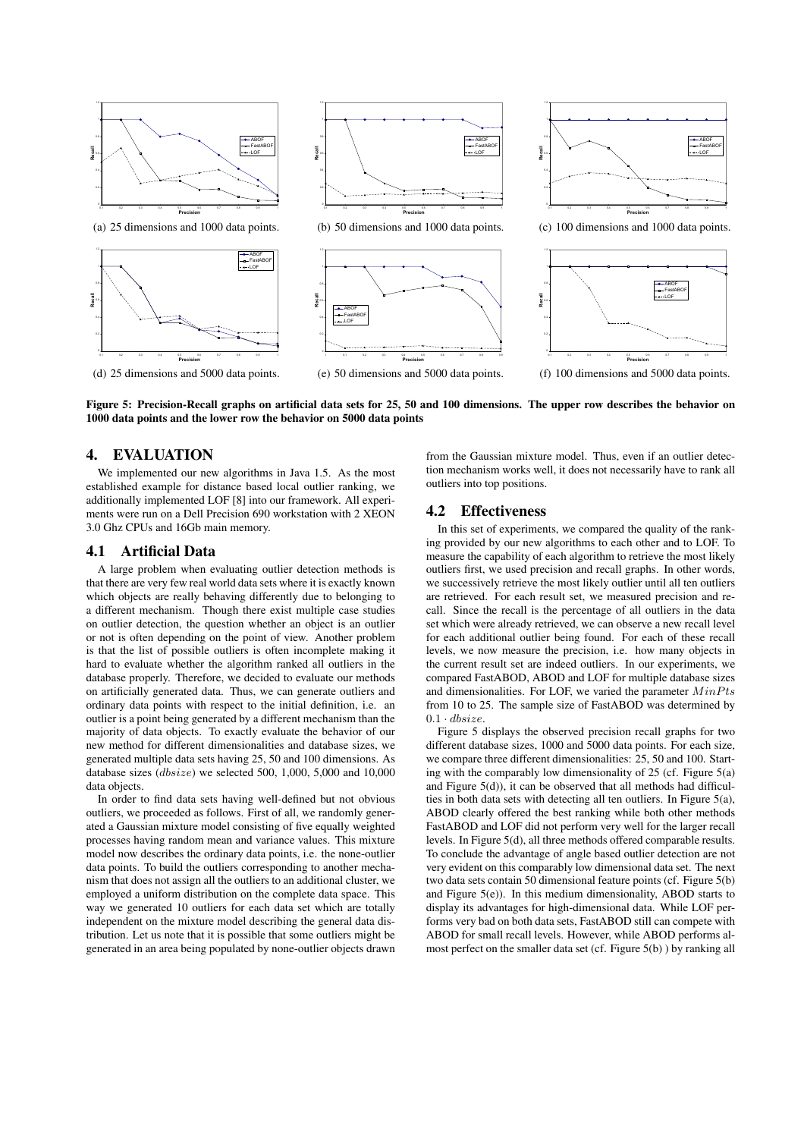

(d) 25 dimensions and 5000 data points.

Figure 5: Precision-Recall graphs on artificial data sets for 25, 50 and 100 dimensions. The upper row describes the behavior on 1000 data points and the lower row the behavior on 5000 data points

### 4. EVALUATION

We implemented our new algorithms in Java 1.5. As the most established example for distance based local outlier ranking, we additionally implemented LOF [8] into our framework. All experiments were run on a Dell Precision 690 workstation with 2 XEON 3.0 Ghz CPUs and 16Gb main memory.

### 4.1 Artificial Data

A large problem when evaluating outlier detection methods is that there are very few real world data sets where it is exactly known which objects are really behaving differently due to belonging to a different mechanism. Though there exist multiple case studies on outlier detection, the question whether an object is an outlier or not is often depending on the point of view. Another problem is that the list of possible outliers is often incomplete making it hard to evaluate whether the algorithm ranked all outliers in the database properly. Therefore, we decided to evaluate our methods on artificially generated data. Thus, we can generate outliers and ordinary data points with respect to the initial definition, i.e. an outlier is a point being generated by a different mechanism than the majority of data objects. To exactly evaluate the behavior of our new method for different dimensionalities and database sizes, we generated multiple data sets having 25, 50 and 100 dimensions. As database sizes (dbsize) we selected 500, 1,000, 5,000 and 10,000 data objects.

In order to find data sets having well-defined but not obvious outliers, we proceeded as follows. First of all, we randomly generated a Gaussian mixture model consisting of five equally weighted processes having random mean and variance values. This mixture model now describes the ordinary data points, i.e. the none-outlier data points. To build the outliers corresponding to another mechanism that does not assign all the outliers to an additional cluster, we employed a uniform distribution on the complete data space. This way we generated 10 outliers for each data set which are totally independent on the mixture model describing the general data distribution. Let us note that it is possible that some outliers might be generated in an area being populated by none-outlier objects drawn from the Gaussian mixture model. Thus, even if an outlier detection mechanism works well, it does not necessarily have to rank all outliers into top positions.

### 4.2 Effectiveness

In this set of experiments, we compared the quality of the ranking provided by our new algorithms to each other and to LOF. To measure the capability of each algorithm to retrieve the most likely outliers first, we used precision and recall graphs. In other words, we successively retrieve the most likely outlier until all ten outliers are retrieved. For each result set, we measured precision and recall. Since the recall is the percentage of all outliers in the data set which were already retrieved, we can observe a new recall level for each additional outlier being found. For each of these recall levels, we now measure the precision, i.e. how many objects in the current result set are indeed outliers. In our experiments, we compared FastABOD, ABOD and LOF for multiple database sizes and dimensionalities. For LOF, we varied the parameter  $MinPts$ from 10 to 25. The sample size of FastABOD was determined by  $0.1 \cdot dbsize.$ 

Figure 5 displays the observed precision recall graphs for two different database sizes, 1000 and 5000 data points. For each size, we compare three different dimensionalities: 25, 50 and 100. Starting with the comparably low dimensionality of 25 (cf. Figure 5(a) and Figure 5(d)), it can be observed that all methods had difficulties in both data sets with detecting all ten outliers. In Figure 5(a), ABOD clearly offered the best ranking while both other methods FastABOD and LOF did not perform very well for the larger recall levels. In Figure 5(d), all three methods offered comparable results. To conclude the advantage of angle based outlier detection are not very evident on this comparably low dimensional data set. The next two data sets contain 50 dimensional feature points (cf. Figure 5(b) and Figure 5(e)). In this medium dimensionality, ABOD starts to display its advantages for high-dimensional data. While LOF performs very bad on both data sets, FastABOD still can compete with ABOD for small recall levels. However, while ABOD performs almost perfect on the smaller data set (cf. Figure 5(b) ) by ranking all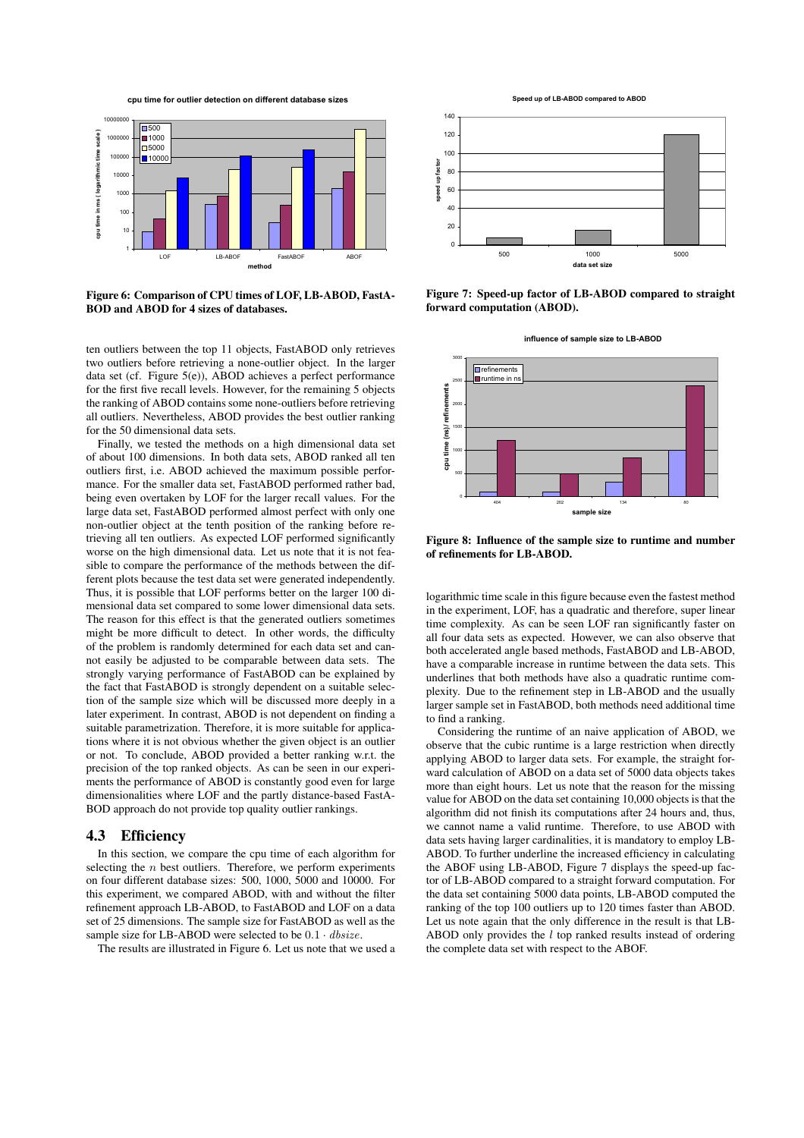**cpu time for outlier detection on different database sizes**



Figure 6: Comparison of CPU times of LOF, LB-ABOD, FastA-BOD and ABOD for 4 sizes of databases.

ten outliers between the top 11 objects, FastABOD only retrieves two outliers before retrieving a none-outlier object. In the larger data set (cf. Figure 5(e)), ABOD achieves a perfect performance for the first five recall levels. However, for the remaining 5 objects the ranking of ABOD contains some none-outliers before retrieving all outliers. Nevertheless, ABOD provides the best outlier ranking for the 50 dimensional data sets.

Finally, we tested the methods on a high dimensional data set of about 100 dimensions. In both data sets, ABOD ranked all ten outliers first, i.e. ABOD achieved the maximum possible performance. For the smaller data set, FastABOD performed rather bad, being even overtaken by LOF for the larger recall values. For the large data set, FastABOD performed almost perfect with only one non-outlier object at the tenth position of the ranking before retrieving all ten outliers. As expected LOF performed significantly worse on the high dimensional data. Let us note that it is not feasible to compare the performance of the methods between the different plots because the test data set were generated independently. Thus, it is possible that LOF performs better on the larger 100 dimensional data set compared to some lower dimensional data sets. The reason for this effect is that the generated outliers sometimes might be more difficult to detect. In other words, the difficulty of the problem is randomly determined for each data set and cannot easily be adjusted to be comparable between data sets. The strongly varying performance of FastABOD can be explained by the fact that FastABOD is strongly dependent on a suitable selection of the sample size which will be discussed more deeply in a later experiment. In contrast, ABOD is not dependent on finding a suitable parametrization. Therefore, it is more suitable for applications where it is not obvious whether the given object is an outlier or not. To conclude, ABOD provided a better ranking w.r.t. the precision of the top ranked objects. As can be seen in our experiments the performance of ABOD is constantly good even for large dimensionalities where LOF and the partly distance-based FastA-BOD approach do not provide top quality outlier rankings.

# 4.3 Efficiency

In this section, we compare the cpu time of each algorithm for selecting the  $n$  best outliers. Therefore, we perform experiments on four different database sizes: 500, 1000, 5000 and 10000. For this experiment, we compared ABOD, with and without the filter refinement approach LB-ABOD, to FastABOD and LOF on a data set of 25 dimensions. The sample size for FastABOD as well as the sample size for LB-ABOD were selected to be  $0.1 \cdot \textit{dbsize}$ .

The results are illustrated in Figure 6. Let us note that we used a

**Speed up of LB-ABOD compared to ABOD**



Figure 7: Speed-up factor of LB-ABOD compared to straight forward computation (ABOD).



Figure 8: Influence of the sample size to runtime and number of refinements for LB-ABOD.

logarithmic time scale in this figure because even the fastest method in the experiment, LOF, has a quadratic and therefore, super linear time complexity. As can be seen LOF ran significantly faster on all four data sets as expected. However, we can also observe that both accelerated angle based methods, FastABOD and LB-ABOD, have a comparable increase in runtime between the data sets. This underlines that both methods have also a quadratic runtime complexity. Due to the refinement step in LB-ABOD and the usually larger sample set in FastABOD, both methods need additional time to find a ranking.

Considering the runtime of an naive application of ABOD, we observe that the cubic runtime is a large restriction when directly applying ABOD to larger data sets. For example, the straight forward calculation of ABOD on a data set of 5000 data objects takes more than eight hours. Let us note that the reason for the missing value for ABOD on the data set containing 10,000 objects is that the algorithm did not finish its computations after 24 hours and, thus, we cannot name a valid runtime. Therefore, to use ABOD with data sets having larger cardinalities, it is mandatory to employ LB-ABOD. To further underline the increased efficiency in calculating the ABOF using LB-ABOD, Figure 7 displays the speed-up factor of LB-ABOD compared to a straight forward computation. For the data set containing 5000 data points, LB-ABOD computed the ranking of the top 100 outliers up to 120 times faster than ABOD. Let us note again that the only difference in the result is that LB-ABOD only provides the  $l$  top ranked results instead of ordering the complete data set with respect to the ABOF.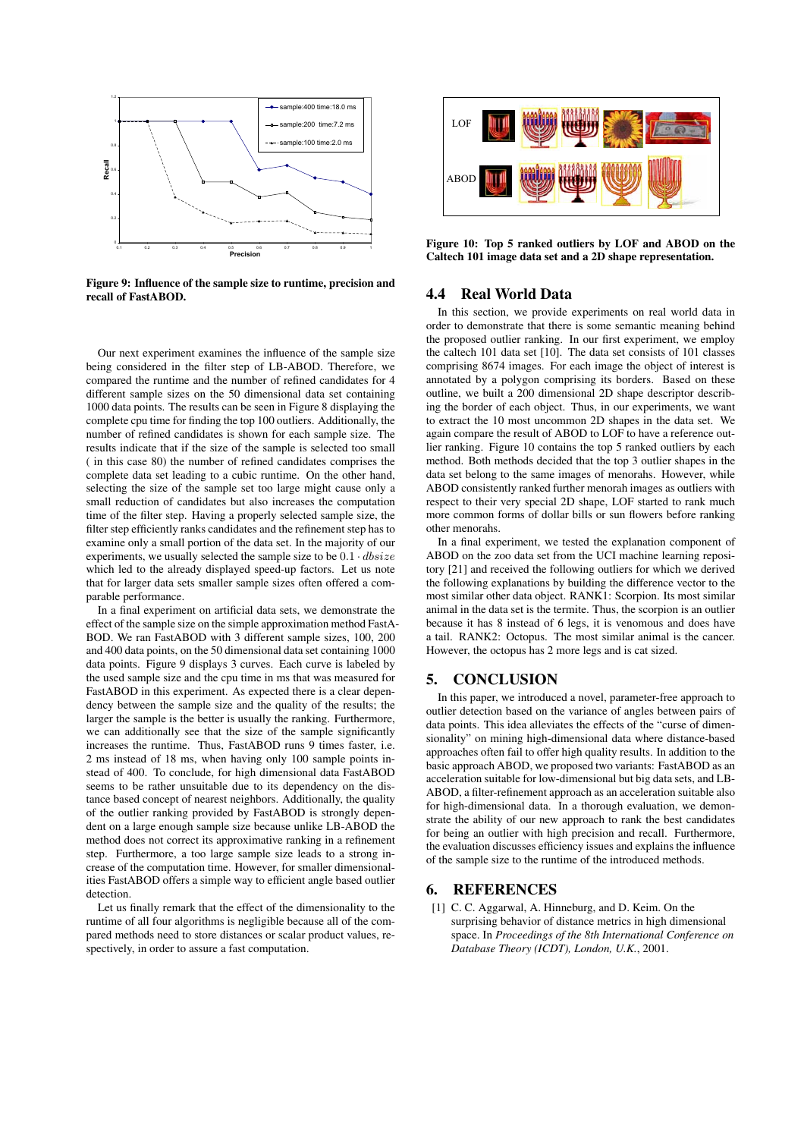

Figure 9: Influence of the sample size to runtime, precision and recall of FastABOD.

Our next experiment examines the influence of the sample size being considered in the filter step of LB-ABOD. Therefore, we compared the runtime and the number of refined candidates for 4 different sample sizes on the 50 dimensional data set containing 1000 data points. The results can be seen in Figure 8 displaying the complete cpu time for finding the top 100 outliers. Additionally, the number of refined candidates is shown for each sample size. The results indicate that if the size of the sample is selected too small ( in this case 80) the number of refined candidates comprises the complete data set leading to a cubic runtime. On the other hand, selecting the size of the sample set too large might cause only a small reduction of candidates but also increases the computation time of the filter step. Having a properly selected sample size, the filter step efficiently ranks candidates and the refinement step has to examine only a small portion of the data set. In the majority of our experiments, we usually selected the sample size to be  $0.1 \cdot absolute$ which led to the already displayed speed-up factors. Let us note that for larger data sets smaller sample sizes often offered a comparable performance.

In a final experiment on artificial data sets, we demonstrate the effect of the sample size on the simple approximation method FastA-BOD. We ran FastABOD with 3 different sample sizes, 100, 200 and 400 data points, on the 50 dimensional data set containing 1000 data points. Figure 9 displays 3 curves. Each curve is labeled by the used sample size and the cpu time in ms that was measured for FastABOD in this experiment. As expected there is a clear dependency between the sample size and the quality of the results; the larger the sample is the better is usually the ranking. Furthermore, we can additionally see that the size of the sample significantly increases the runtime. Thus, FastABOD runs 9 times faster, i.e. 2 ms instead of 18 ms, when having only 100 sample points instead of 400. To conclude, for high dimensional data FastABOD seems to be rather unsuitable due to its dependency on the distance based concept of nearest neighbors. Additionally, the quality of the outlier ranking provided by FastABOD is strongly dependent on a large enough sample size because unlike LB-ABOD the method does not correct its approximative ranking in a refinement step. Furthermore, a too large sample size leads to a strong increase of the computation time. However, for smaller dimensionalities FastABOD offers a simple way to efficient angle based outlier detection.

Let us finally remark that the effect of the dimensionality to the runtime of all four algorithms is negligible because all of the compared methods need to store distances or scalar product values, respectively, in order to assure a fast computation.



Figure 10: Top 5 ranked outliers by LOF and ABOD on the Caltech 101 image data set and a 2D shape representation.

# 4.4 Real World Data

In this section, we provide experiments on real world data in order to demonstrate that there is some semantic meaning behind the proposed outlier ranking. In our first experiment, we employ the caltech 101 data set [10]. The data set consists of 101 classes comprising 8674 images. For each image the object of interest is annotated by a polygon comprising its borders. Based on these outline, we built a 200 dimensional 2D shape descriptor describing the border of each object. Thus, in our experiments, we want to extract the 10 most uncommon 2D shapes in the data set. We again compare the result of ABOD to LOF to have a reference outlier ranking. Figure 10 contains the top 5 ranked outliers by each method. Both methods decided that the top 3 outlier shapes in the data set belong to the same images of menorahs. However, while ABOD consistently ranked further menorah images as outliers with respect to their very special 2D shape, LOF started to rank much more common forms of dollar bills or sun flowers before ranking other menorahs.

In a final experiment, we tested the explanation component of ABOD on the zoo data set from the UCI machine learning repository [21] and received the following outliers for which we derived the following explanations by building the difference vector to the most similar other data object. RANK1: Scorpion. Its most similar animal in the data set is the termite. Thus, the scorpion is an outlier because it has 8 instead of 6 legs, it is venomous and does have a tail. RANK2: Octopus. The most similar animal is the cancer. However, the octopus has 2 more legs and is cat sized.

### 5. CONCLUSION

In this paper, we introduced a novel, parameter-free approach to outlier detection based on the variance of angles between pairs of data points. This idea alleviates the effects of the "curse of dimensionality" on mining high-dimensional data where distance-based approaches often fail to offer high quality results. In addition to the basic approach ABOD, we proposed two variants: FastABOD as an acceleration suitable for low-dimensional but big data sets, and LB-ABOD, a filter-refinement approach as an acceleration suitable also for high-dimensional data. In a thorough evaluation, we demonstrate the ability of our new approach to rank the best candidates for being an outlier with high precision and recall. Furthermore, the evaluation discusses efficiency issues and explains the influence of the sample size to the runtime of the introduced methods.

### 6. REFERENCES

[1] C. C. Aggarwal, A. Hinneburg, and D. Keim. On the surprising behavior of distance metrics in high dimensional space. In *Proceedings of the 8th International Conference on Database Theory (ICDT), London, U.K.*, 2001.